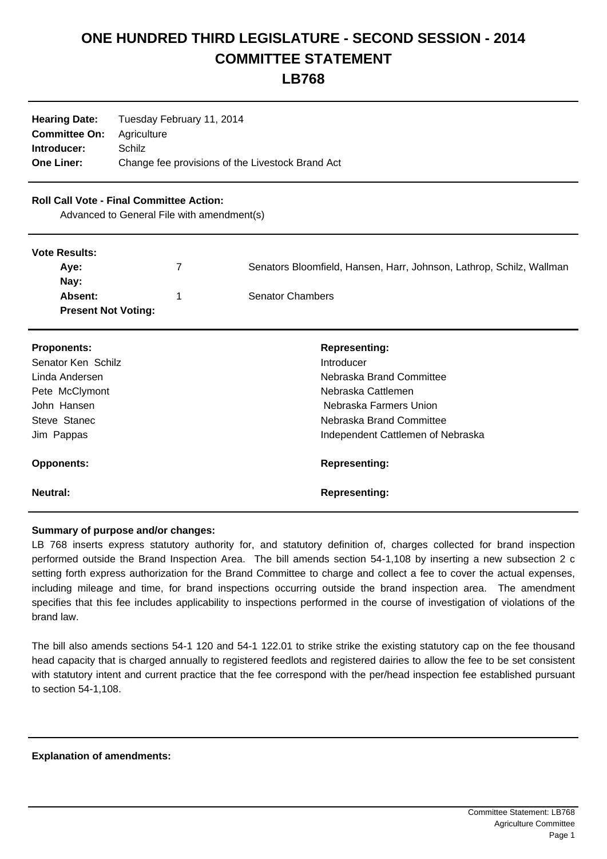## **ONE HUNDRED THIRD LEGISLATURE - SECOND SESSION - 2014 COMMITTEE STATEMENT**

**LB768**

| Tuesday February 11, 2014                        |  |  |
|--------------------------------------------------|--|--|
| Agriculture                                      |  |  |
| Schilz.                                          |  |  |
| Change fee provisions of the Livestock Brand Act |  |  |
|                                                  |  |  |

## **Roll Call Vote - Final Committee Action:**

Advanced to General File with amendment(s)

| <b>Vote Results:</b>       |                                                                      |
|----------------------------|----------------------------------------------------------------------|
| Ave:                       | Senators Bloomfield, Hansen, Harr, Johnson, Lathrop, Schilz, Wallman |
| Nay:                       |                                                                      |
| Absent:                    | <b>Senator Chambers</b>                                              |
| <b>Present Not Voting:</b> |                                                                      |

| <b>Proponents:</b> | <b>Representing:</b>              |
|--------------------|-----------------------------------|
| Senator Ken Schilz | Introducer                        |
| Linda Andersen     | Nebraska Brand Committee          |
| Pete McClymont     | Nebraska Cattlemen                |
| John Hansen        | Nebraska Farmers Union            |
| Steve Stanec       | Nebraska Brand Committee          |
| Jim Pappas         | Independent Cattlemen of Nebraska |
| <b>Opponents:</b>  | <b>Representing:</b>              |
| Neutral:           | <b>Representing:</b>              |

## **Summary of purpose and/or changes:**

LB 768 inserts express statutory authority for, and statutory definition of, charges collected for brand inspection performed outside the Brand Inspection Area. The bill amends section 54-1,108 by inserting a new subsection 2 c setting forth express authorization for the Brand Committee to charge and collect a fee to cover the actual expenses, including mileage and time, for brand inspections occurring outside the brand inspection area. The amendment specifies that this fee includes applicability to inspections performed in the course of investigation of violations of the brand law.

The bill also amends sections 54-1 120 and 54-1 122.01 to strike strike the existing statutory cap on the fee thousand head capacity that is charged annually to registered feedlots and registered dairies to allow the fee to be set consistent with statutory intent and current practice that the fee correspond with the per/head inspection fee established pursuant to section 54-1,108.

## **Explanation of amendments:**